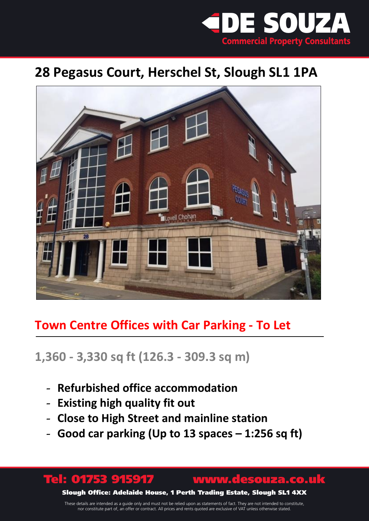

# **28 Pegasus Court, Herschel St, Slough SL1 1PA**



## **Town Centre Offices with Car Parking - To Let**

## **1,360 - 3,330 sq ft (126.3 - 309.3 sq m)**

- **Refurbished office accommodation**
- **Existing high quality fit out**

Ī

- **Close to High Street and mainline station**
- **Good car parking (Up to 13 spaces – 1:256 sq ft)**

Tel: 01753 915917 www.desouza.co.uk Slough Office: Adelaide House, 1 Perth Trading Estate, Slough SL1 4XX

These details are intended as a guide only and must not be relied upon as statements of fact. They are not intended to constitute, nor constitute part of, an offer or contract. All prices and rents quoted are exclusive of VAT unless otherwise stated.